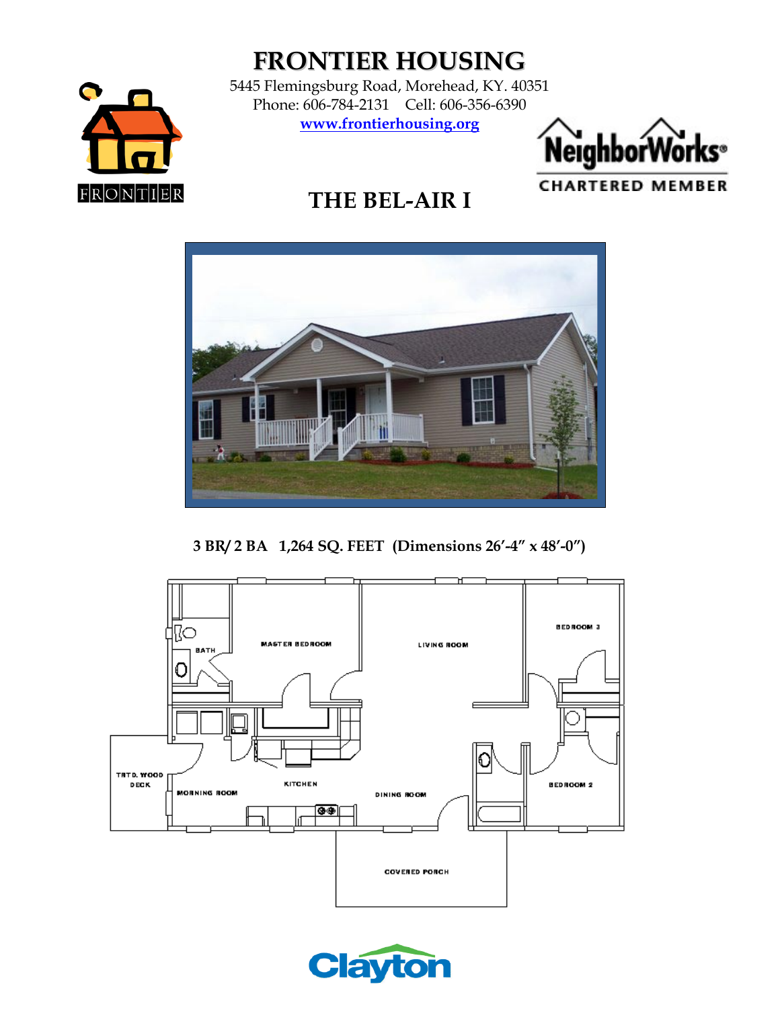

# **FRONTIER HOUSING**

5445 Flemingsburg Road, Morehead, KY. 40351 Phone: 606-784-2131 Cell: 606-356-6390 **[www.frontierhousing.org](http://www.frontierhousing.org/)**



## **THE BEL-AIR I**



**3 BR/ 2 BA 1,264 SQ. FEET (Dimensions 26'-4" x 48'-0")**